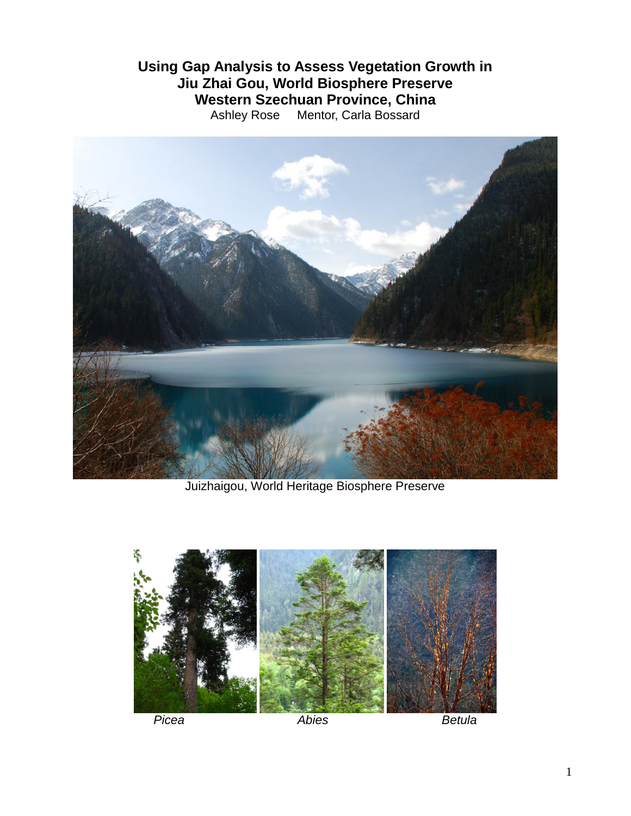## **Using Gap Analysis to Assess Vegetation Growth in Jiu Zhai Gou, World Biosphere Preserve Western Szechuan Province, China** Ashley Rose Mentor, Carla Bossard



Juizhaigou, World Heritage Biosphere Preserve

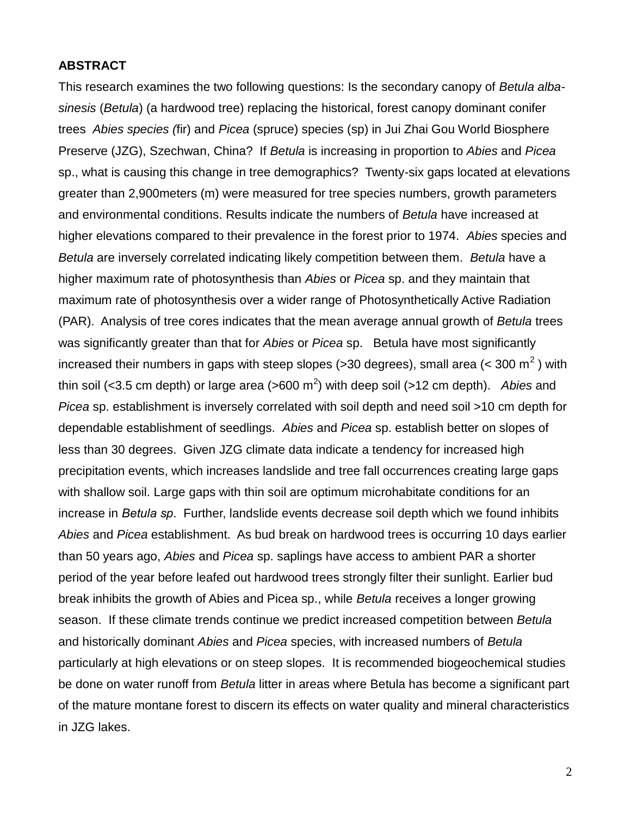### **ABSTRACT**

This research examines the two following questions: Is the secondary canopy of *Betula albasinesis* (*Betula*) (a hardwood tree) replacing the historical, forest canopy dominant conifer trees *Abies species (*fir) and *Picea* (spruce) species (sp) in Jui Zhai Gou World Biosphere Preserve (JZG), Szechwan, China? If *Betula* is increasing in proportion to *Abies* and *Picea* sp., what is causing this change in tree demographics? Twenty-six gaps located at elevations greater than 2,900meters (m) were measured for tree species numbers, growth parameters and environmental conditions. Results indicate the numbers of *Betula* have increased at higher elevations compared to their prevalence in the forest prior to 1974. *Abies* species and *Betula* are inversely correlated indicating likely competition between them. *Betula* have a higher maximum rate of photosynthesis than *Abies* or *Picea* sp. and they maintain that maximum rate of photosynthesis over a wider range of Photosynthetically Active Radiation (PAR). Analysis of tree cores indicates that the mean average annual growth of *Betula* trees was significantly greater than that for *Abies* or *Picea* sp. Betula have most significantly increased their numbers in gaps with steep slopes (>30 degrees), small area (< 300 m<sup>2</sup>) with thin soil (<3.5 cm depth) or large area (>600 m<sup>2</sup>) with deep soil (>12 cm depth). *Abies* and *Picea* sp. establishment is inversely correlated with soil depth and need soil >10 cm depth for dependable establishment of seedlings. *Abies* and *Picea* sp. establish better on slopes of less than 30 degrees. Given JZG climate data indicate a tendency for increased high precipitation events, which increases landslide and tree fall occurrences creating large gaps with shallow soil. Large gaps with thin soil are optimum microhabitate conditions for an increase in *Betula sp*. Further, landslide events decrease soil depth which we found inhibits *Abies* and *Picea* establishment. As bud break on hardwood trees is occurring 10 days earlier than 50 years ago, *Abies* and *Picea* sp. saplings have access to ambient PAR a shorter period of the year before leafed out hardwood trees strongly filter their sunlight. Earlier bud break inhibits the growth of Abies and Picea sp., while *Betula* receives a longer growing season. If these climate trends continue we predict increased competition between *Betula*  and historically dominant *Abies* and *Picea* species, with increased numbers of *Betula*  particularly at high elevations or on steep slopes. It is recommended biogeochemical studies be done on water runoff from *Betula* litter in areas where Betula has become a significant part of the mature montane forest to discern its effects on water quality and mineral characteristics in JZG lakes.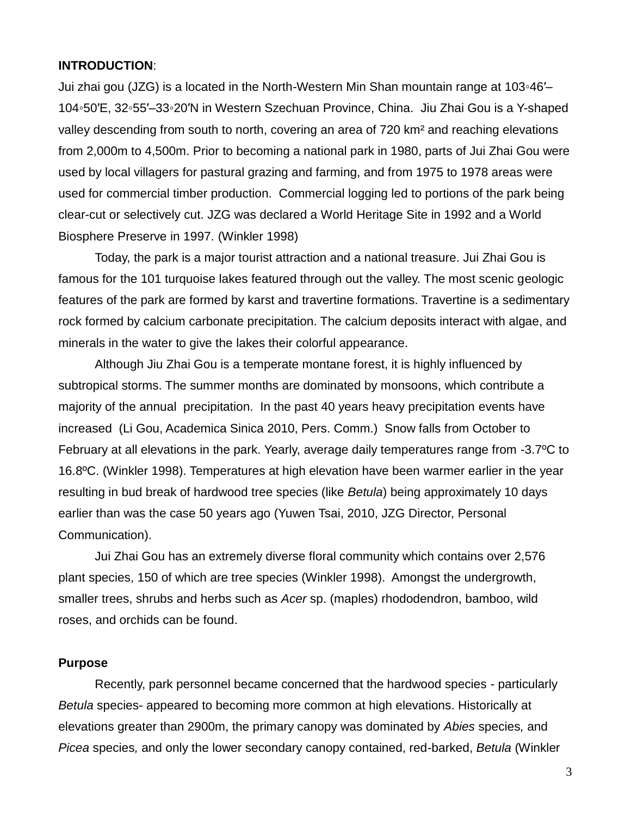### **INTRODUCTION**:

Jui zhai gou (JZG) is a located in the North-Western Min Shan mountain range at 103◦46′– 104◦50′E, 32◦55′–33◦20′N in Western Szechuan Province, China. Jiu Zhai Gou is a Y-shaped valley descending from south to north, covering an area of 720 km² and reaching elevations from 2,000m to 4,500m. Prior to becoming a national park in 1980, parts of Jui Zhai Gou were used by local villagers for pastural grazing and farming, and from 1975 to 1978 areas were used for commercial timber production. Commercial logging led to portions of the park being clear-cut or selectively cut. JZG was declared a World Heritage Site in 1992 and a World Biosphere Preserve in 1997. (Winkler 1998)

Today, the park is a major tourist attraction and a national treasure. Jui Zhai Gou is famous for the 101 turquoise lakes featured through out the valley. The most scenic geologic features of the park are formed by karst and travertine formations. Travertine is a sedimentary rock formed by calcium carbonate precipitation. The calcium deposits interact with algae, and minerals in the water to give the lakes their colorful appearance.

Although Jiu Zhai Gou is a temperate montane forest, it is highly influenced by subtropical storms. The summer months are dominated by monsoons, which contribute a majority of the annual precipitation. In the past 40 years heavy precipitation events have increased (Li Gou, Academica Sinica 2010, Pers. Comm.) Snow falls from October to February at all elevations in the park. Yearly, average daily temperatures range from -3.7ºC to 16.8ºC. (Winkler 1998). Temperatures at high elevation have been warmer earlier in the year resulting in bud break of hardwood tree species (like *Betula*) being approximately 10 days earlier than was the case 50 years ago (Yuwen Tsai, 2010, JZG Director, Personal Communication).

Jui Zhai Gou has an extremely diverse floral community which contains over 2,576 plant species, 150 of which are tree species (Winkler 1998). Amongst the undergrowth, smaller trees, shrubs and herbs such as *Acer* sp. (maples) rhododendron, bamboo, wild roses, and orchids can be found.

### **Purpose**

Recently, park personnel became concerned that the hardwood species - particularly *Betula* species- appeared to becoming more common at high elevations. Historically at elevations greater than 2900m, the primary canopy was dominated by *Abies* species*,* and *Picea* species*,* and only the lower secondary canopy contained, red-barked, *Betula* (Winkler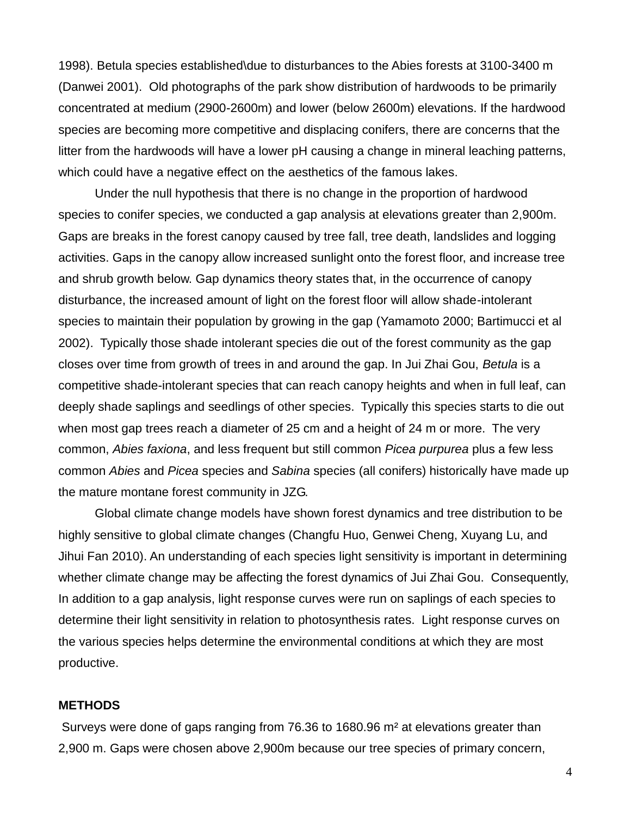1998). Betula species established\due to disturbances to the Abies forests at 3100-3400 m (Danwei 2001). Old photographs of the park show distribution of hardwoods to be primarily concentrated at medium (2900-2600m) and lower (below 2600m) elevations. If the hardwood species are becoming more competitive and displacing conifers, there are concerns that the litter from the hardwoods will have a lower pH causing a change in mineral leaching patterns, which could have a negative effect on the aesthetics of the famous lakes.

Under the null hypothesis that there is no change in the proportion of hardwood species to conifer species, we conducted a gap analysis at elevations greater than 2,900m. Gaps are breaks in the forest canopy caused by tree fall, tree death, landslides and logging activities. Gaps in the canopy allow increased sunlight onto the forest floor, and increase tree and shrub growth below. Gap dynamics theory states that, in the occurrence of canopy disturbance, the increased amount of light on the forest floor will allow shade-intolerant species to maintain their population by growing in the gap (Yamamoto 2000; Bartimucci et al 2002). Typically those shade intolerant species die out of the forest community as the gap closes over time from growth of trees in and around the gap. In Jui Zhai Gou, *Betula* is a competitive shade-intolerant species that can reach canopy heights and when in full leaf, can deeply shade saplings and seedlings of other species. Typically this species starts to die out when most gap trees reach a diameter of 25 cm and a height of 24 m or more. The very common, *Abies faxiona*, and less frequent but still common *Picea purpurea* plus a few less common *Abies* and *Picea* species and *Sabina* species (all conifers) historically have made up the mature montane forest community in JZG.

Global climate change models have shown forest dynamics and tree distribution to be highly sensitive to global climate changes (Changfu Huo, Genwei Cheng, Xuyang Lu, and Jihui Fan 2010). An understanding of each species light sensitivity is important in determining whether climate change may be affecting the forest dynamics of Jui Zhai Gou. Consequently, In addition to a gap analysis, light response curves were run on saplings of each species to determine their light sensitivity in relation to photosynthesis rates. Light response curves on the various species helps determine the environmental conditions at which they are most productive.

### **METHODS**

Surveys were done of gaps ranging from 76.36 to 1680.96 m² at elevations greater than 2,900 m. Gaps were chosen above 2,900m because our tree species of primary concern,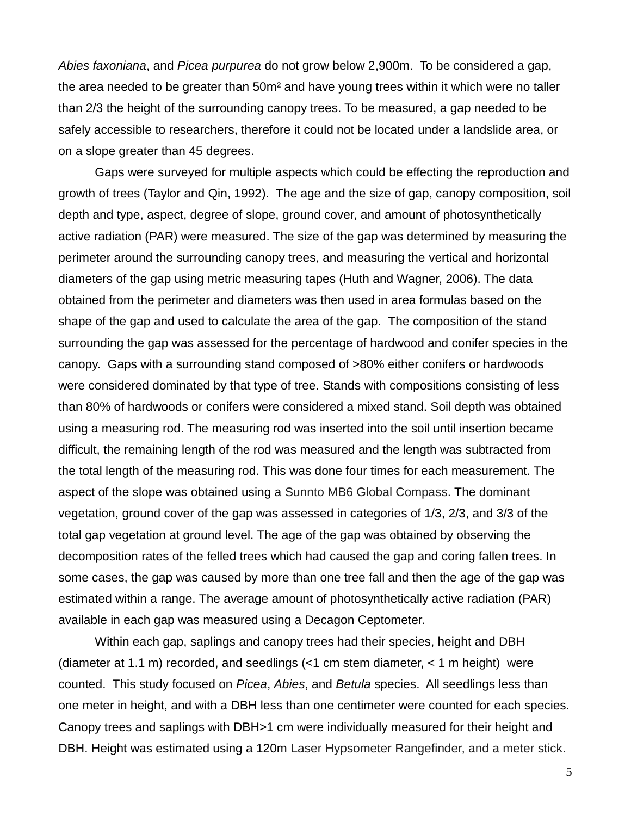*Abies faxoniana*, and *Picea purpurea* do not grow below 2,900m. To be considered a gap, the area needed to be greater than 50m² and have young trees within it which were no taller than 2/3 the height of the surrounding canopy trees. To be measured, a gap needed to be safely accessible to researchers, therefore it could not be located under a landslide area, or on a slope greater than 45 degrees.

Gaps were surveyed for multiple aspects which could be effecting the reproduction and growth of trees (Taylor and Qin, 1992). The age and the size of gap, canopy composition, soil depth and type, aspect, degree of slope, ground cover, and amount of photosynthetically active radiation (PAR) were measured. The size of the gap was determined by measuring the perimeter around the surrounding canopy trees, and measuring the vertical and horizontal diameters of the gap using metric measuring tapes (Huth and Wagner, 2006). The data obtained from the perimeter and diameters was then used in area formulas based on the shape of the gap and used to calculate the area of the gap. The composition of the stand surrounding the gap was assessed for the percentage of hardwood and conifer species in the canopy. Gaps with a surrounding stand composed of >80% either conifers or hardwoods were considered dominated by that type of tree. Stands with compositions consisting of less than 80% of hardwoods or conifers were considered a mixed stand. Soil depth was obtained using a measuring rod. The measuring rod was inserted into the soil until insertion became difficult, the remaining length of the rod was measured and the length was subtracted from the total length of the measuring rod. This was done four times for each measurement. The aspect of the slope was obtained using a Sunnto MB6 Global Compass. The dominant vegetation, ground cover of the gap was assessed in categories of 1/3, 2/3, and 3/3 of the total gap vegetation at ground level. The age of the gap was obtained by observing the decomposition rates of the felled trees which had caused the gap and coring fallen trees. In some cases, the gap was caused by more than one tree fall and then the age of the gap was estimated within a range. The average amount of photosynthetically active radiation (PAR) available in each gap was measured using a Decagon Ceptometer.

Within each gap, saplings and canopy trees had their species, height and DBH (diameter at 1.1 m) recorded, and seedlings (<1 cm stem diameter, < 1 m height) were counted. This study focused on *Picea*, *Abies*, and *Betula* species. All seedlings less than one meter in height, and with a DBH less than one centimeter were counted for each species. Canopy trees and saplings with DBH>1 cm were individually measured for their height and DBH. Height was estimated using a 120m Laser Hypsometer Rangefinder, and a meter stick.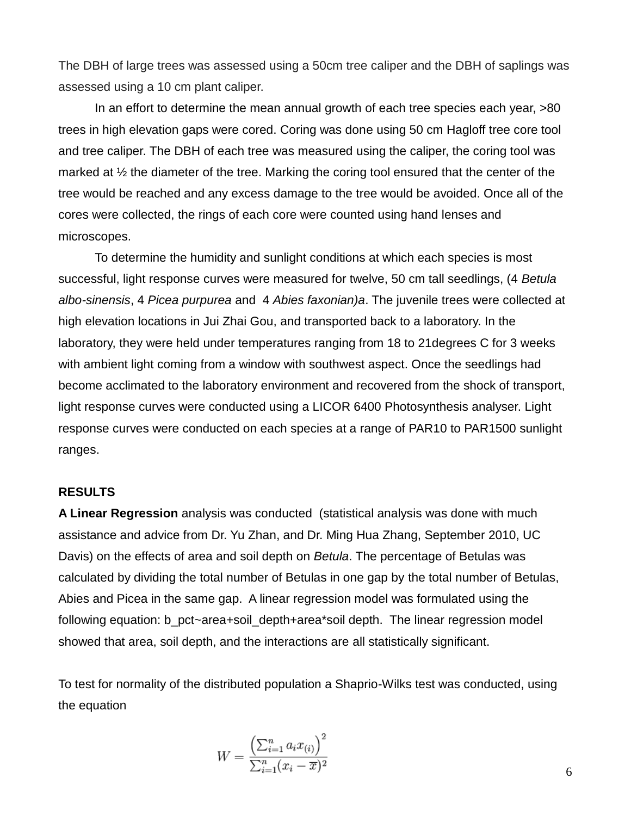The DBH of large trees was assessed using a 50cm tree caliper and the DBH of saplings was assessed using a 10 cm plant caliper.

In an effort to determine the mean annual growth of each tree species each year, >80 trees in high elevation gaps were cored. Coring was done using 50 cm Hagloff tree core tool and tree caliper. The DBH of each tree was measured using the caliper, the coring tool was marked at ½ the diameter of the tree. Marking the coring tool ensured that the center of the tree would be reached and any excess damage to the tree would be avoided. Once all of the cores were collected, the rings of each core were counted using hand lenses and microscopes.

To determine the humidity and sunlight conditions at which each species is most successful, light response curves were measured for twelve, 50 cm tall seedlings, (4 *Betula albo-sinensis*, 4 *Picea purpurea* and 4 *Abies faxonian)a*. The juvenile trees were collected at high elevation locations in Jui Zhai Gou, and transported back to a laboratory. In the laboratory, they were held under temperatures ranging from 18 to 21degrees C for 3 weeks with ambient light coming from a window with southwest aspect. Once the seedlings had become acclimated to the laboratory environment and recovered from the shock of transport, light response curves were conducted using a LICOR 6400 Photosynthesis analyser. Light response curves were conducted on each species at a range of PAR10 to PAR1500 sunlight ranges.

#### **RESULTS**

**A Linear Regression** analysis was conducted (statistical analysis was done with much assistance and advice from Dr. Yu Zhan, and Dr. Ming Hua Zhang, September 2010, UC Davis) on the effects of area and soil depth on *Betula*. The percentage of Betulas was calculated by dividing the total number of Betulas in one gap by the total number of Betulas, Abies and Picea in the same gap. A linear regression model was formulated using the following equation: b\_pct~area+soil\_depth+area\*soil depth. The linear regression model showed that area, soil depth, and the interactions are all statistically significant.

To test for normality of the distributed population a Shaprio-Wilks test was conducted, using the equation

$$
W = \frac{\left(\sum_{i=1}^n a_i x_{(i)}\right)^2}{\sum_{i=1}^n (x_i - \overline{x})^2}
$$

6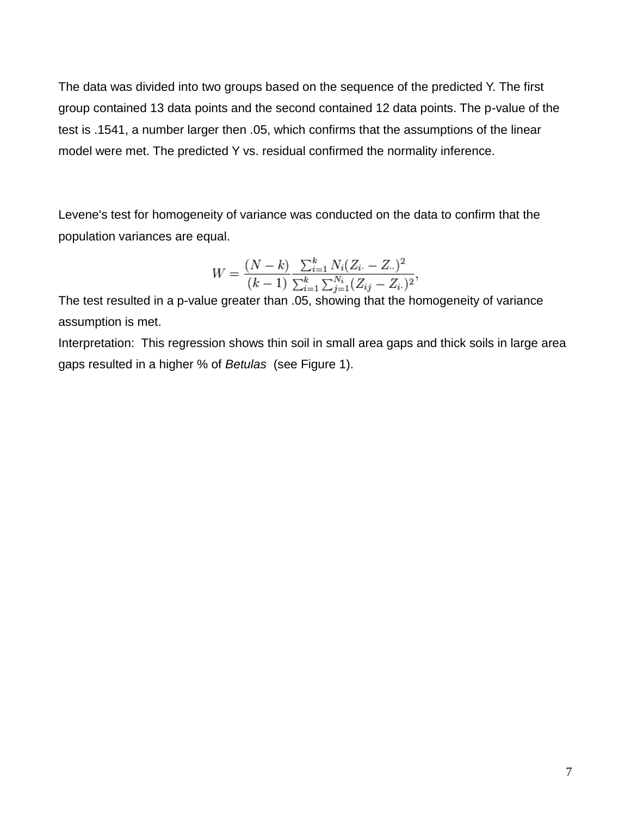The data was divided into two groups based on the sequence of the predicted Y. The first group contained 13 data points and the second contained 12 data points. The p-value of the test is .1541, a number larger then .05, which confirms that the assumptions of the linear model were met. The predicted Y vs. residual confirmed the normality inference.

Levene's test for homogeneity of variance was conducted on the data to confirm that the population variances are equal.

$$
W = \frac{(N-k)}{(k-1)} \frac{\sum_{i=1}^{k} N_i (Z_i - Z_{\cdot\cdot})^2}{\sum_{i=1}^{k} \sum_{j=1}^{N_i} (Z_{ij} - Z_{i\cdot})^2},
$$

The test resulted in a p-value greater than .05, showing that the homogeneity of variance assumption is met.

Interpretation: This regression shows thin soil in small area gaps and thick soils in large area gaps resulted in a higher % of *Betulas* (see Figure 1).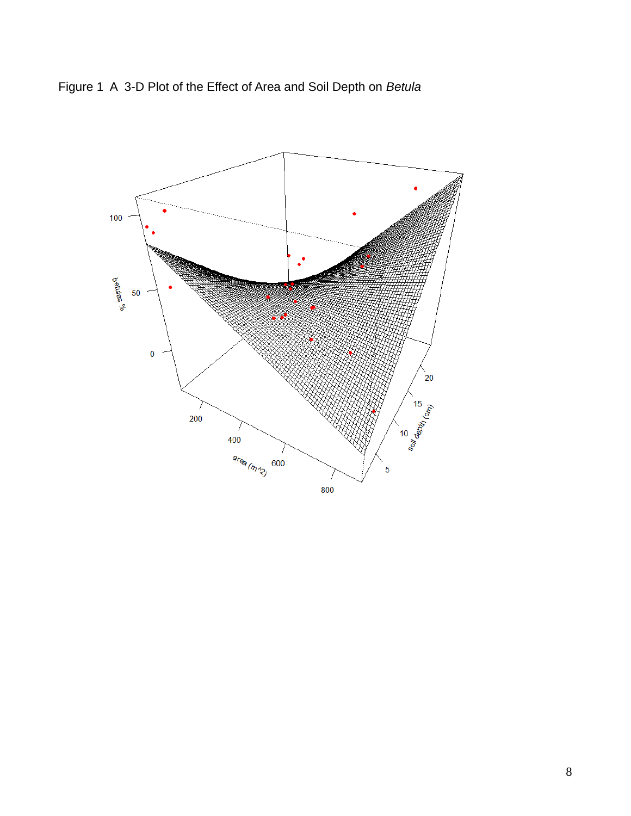

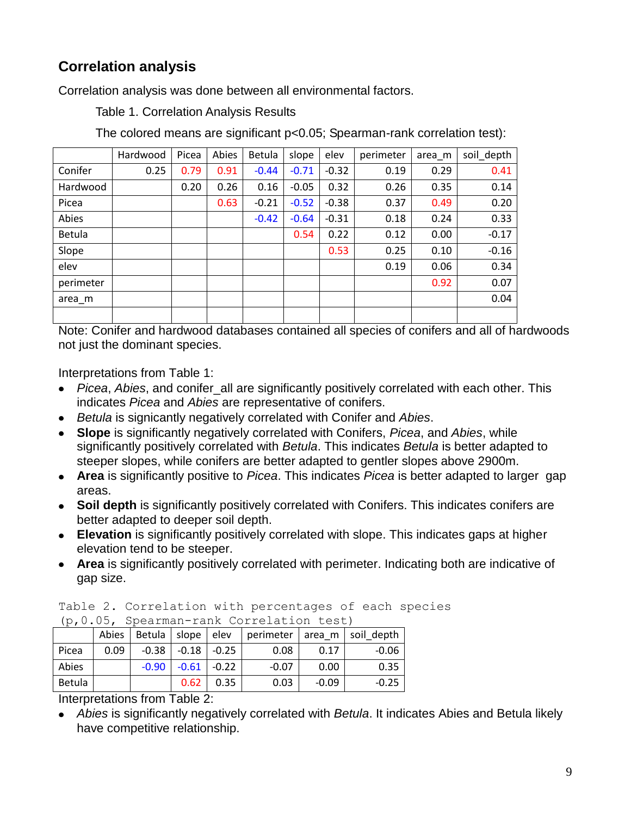# **Correlation analysis**

Correlation analysis was done between all environmental factors.

Table 1. Correlation Analysis Results

The colored means are significant p<0.05; Spearman-rank correlation test):

|               | Hardwood | Picea | Abies | Betula  | slope   | elev    | perimeter | area_m | soil depth |
|---------------|----------|-------|-------|---------|---------|---------|-----------|--------|------------|
| Conifer       | 0.25     | 0.79  | 0.91  | $-0.44$ | $-0.71$ | $-0.32$ | 0.19      | 0.29   | 0.41       |
| Hardwood      |          | 0.20  | 0.26  | 0.16    | $-0.05$ | 0.32    | 0.26      | 0.35   | 0.14       |
| Picea         |          |       | 0.63  | $-0.21$ | $-0.52$ | $-0.38$ | 0.37      | 0.49   | 0.20       |
| Abies         |          |       |       | $-0.42$ | $-0.64$ | $-0.31$ | 0.18      | 0.24   | 0.33       |
| <b>Betula</b> |          |       |       |         | 0.54    | 0.22    | 0.12      | 0.00   | $-0.17$    |
| Slope         |          |       |       |         |         | 0.53    | 0.25      | 0.10   | $-0.16$    |
| elev          |          |       |       |         |         |         | 0.19      | 0.06   | 0.34       |
| perimeter     |          |       |       |         |         |         |           | 0.92   | 0.07       |
| area m        |          |       |       |         |         |         |           |        | 0.04       |
|               |          |       |       |         |         |         |           |        |            |

Note: Conifer and hardwood databases contained all species of conifers and all of hardwoods not just the dominant species.

Interpretations from Table 1:

- *Picea*, *Abies*, and conifer all are significantly positively correlated with each other. This indicates *Picea* and *Abies* are representative of conifers.
- *Betula* is signicantly negatively correlated with Conifer and *Abies*.
- **Slope** is significantly negatively correlated with Conifers, *Picea*, and *Abies*, while significantly positively correlated with *Betula*. This indicates *Betula* is better adapted to steeper slopes, while conifers are better adapted to gentler slopes above 2900m.
- **Area** is significantly positive to *Picea*. This indicates *Picea* is better adapted to larger gap areas.
- **Soil depth** is significantly positively correlated with Conifers. This indicates conifers are better adapted to deeper soil depth.
- **Elevation** is significantly positively correlated with slope. This indicates gaps at higher elevation tend to be steeper.
- **Area** is significantly positively correlated with perimeter. Indicating both are indicative of gap size.

| Table 2. Correlation with percentages of each species |  |  |  |
|-------------------------------------------------------|--|--|--|
| (p, 0.05, Spearman-rank Correlation test)             |  |  |  |

| $\frac{10}{10}$ , $\frac{10}{10}$ , $\frac{10}{10}$ , $\frac{10}{10}$ , $\frac{10}{10}$ , $\frac{10}{10}$ , $\frac{10}{10}$ , $\frac{10}{10}$ , $\frac{10}{10}$ |      |                               |                             |      |                             |         |         |  |
|-----------------------------------------------------------------------------------------------------------------------------------------------------------------|------|-------------------------------|-----------------------------|------|-----------------------------|---------|---------|--|
|                                                                                                                                                                 |      | Abies   Betula   slope   elev |                             |      | perimeter area m soil depth |         |         |  |
| l Picea                                                                                                                                                         | 0.09 |                               | $-0.38$   $-0.18$   $-0.25$ |      | 0.08                        | 0.17    | $-0.06$ |  |
| Abies                                                                                                                                                           |      | $-0.90$                       | $-0.61$ $-0.22$             |      | $-0.07$                     | 0.00    | 0.35    |  |
| Betula                                                                                                                                                          |      |                               | 0.62                        | 0.35 | 0.03                        | $-0.09$ | $-0.25$ |  |

Interpretations from Table 2:

*Abies* is significantly negatively correlated with *Betula*. It indicates Abies and Betula likely have competitive relationship.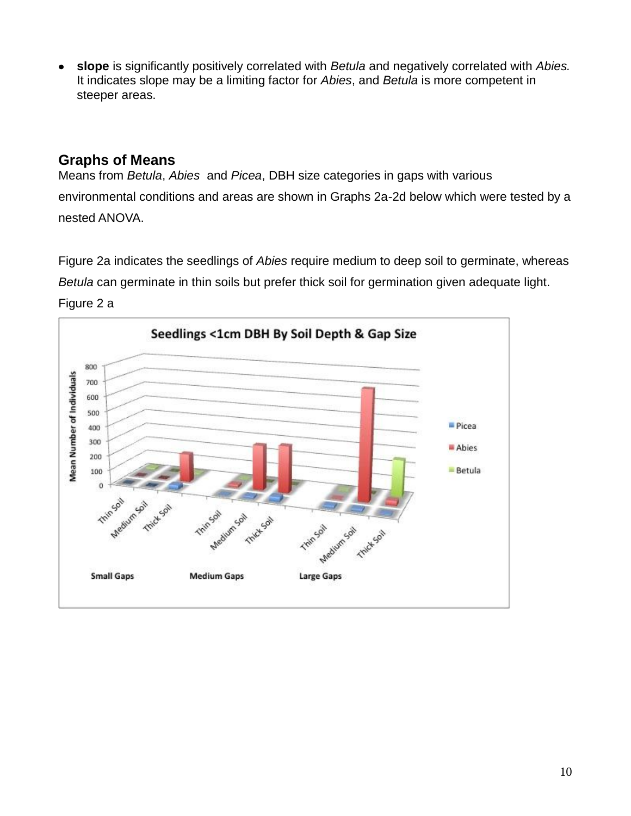**slope** is significantly positively correlated with *Betula* and negatively correlated with *Abies.* It indicates slope may be a limiting factor for *Abies*, and *Betula* is more competent in steeper areas.

## **Graphs of Means**

Means from *Betula*, *Abies* and *Picea*, DBH size categories in gaps with various environmental conditions and areas are shown in Graphs 2a-2d below which were tested by a nested ANOVA.

Figure 2a indicates the seedlings of *Abies* require medium to deep soil to germinate, whereas *Betula* can germinate in thin soils but prefer thick soil for germination given adequate light.



Figure 2 a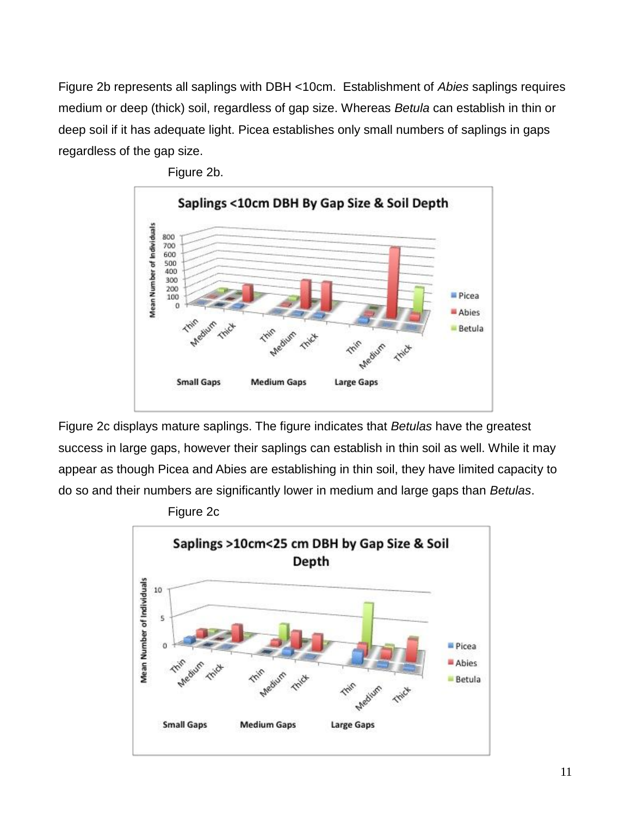Figure 2b represents all saplings with DBH <10cm. Establishment of *Abies* saplings requires medium or deep (thick) soil, regardless of gap size. Whereas *Betula* can establish in thin or deep soil if it has adequate light. Picea establishes only small numbers of saplings in gaps regardless of the gap size.



Figure 2b.

Figure 2c displays mature saplings. The figure indicates that *Betulas* have the greatest success in large gaps, however their saplings can establish in thin soil as well. While it may appear as though Picea and Abies are establishing in thin soil, they have limited capacity to do so and their numbers are significantly lower in medium and large gaps than *Betulas*.



Figure 2c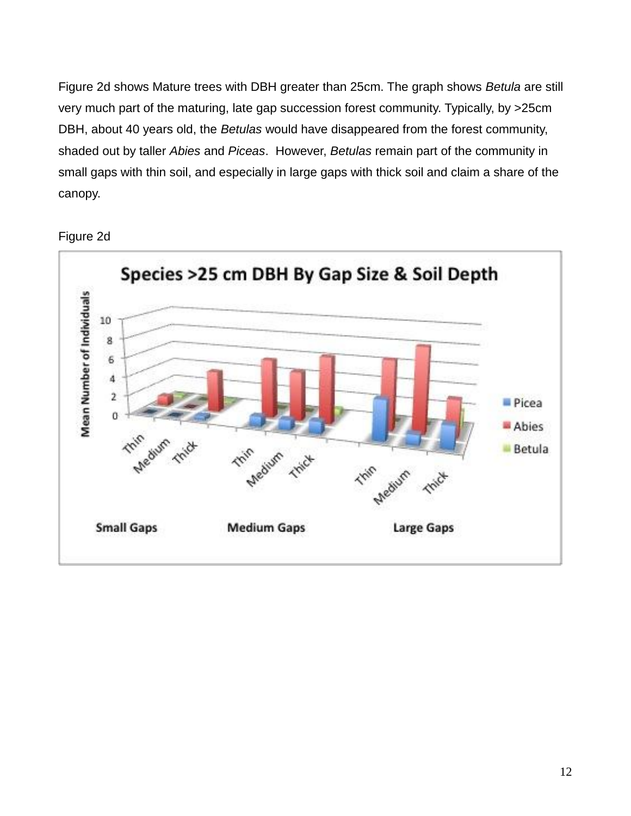Figure 2d shows Mature trees with DBH greater than 25cm. The graph shows *Betula* are still very much part of the maturing, late gap succession forest community. Typically, by >25cm DBH, about 40 years old, the *Betulas* would have disappeared from the forest community, shaded out by taller *Abies* and *Piceas*. However, *Betulas* remain part of the community in small gaps with thin soil, and especially in large gaps with thick soil and claim a share of the canopy.



Figure 2d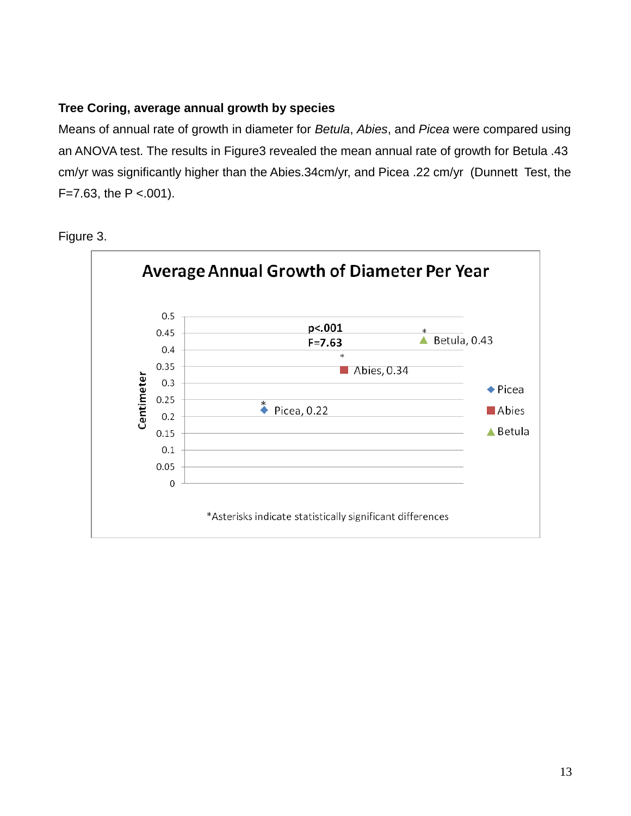### **Tree Coring, average annual growth by species**

Means of annual rate of growth in diameter for *Betula*, *Abies*, and *Picea* were compared using an ANOVA test. The results in Figure3 revealed the mean annual rate of growth for Betula .43 cm/yr was significantly higher than the Abies.34cm/yr, and Picea .22 cm/yr (Dunnett Test, the  $F=7.63$ , the P <.001).



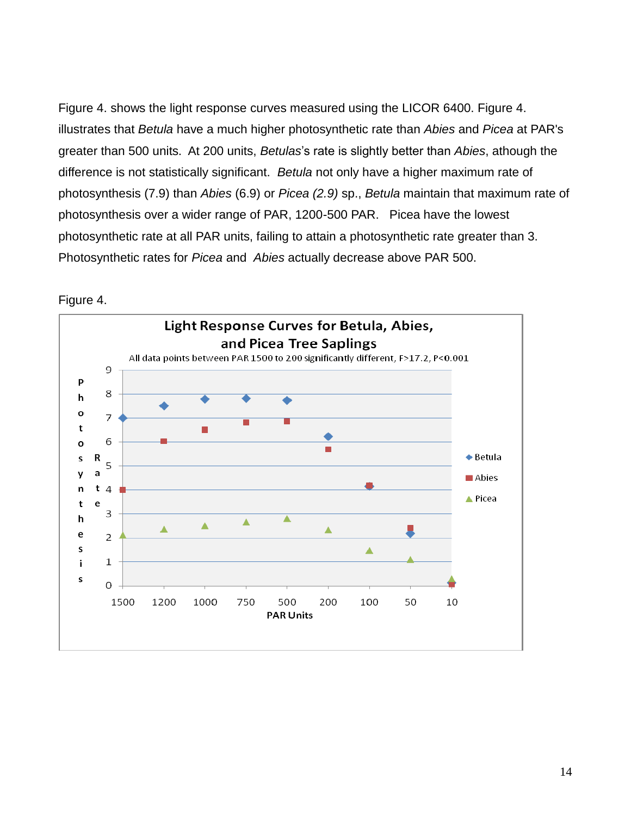Figure 4. shows the light response curves measured using the LICOR 6400. Figure 4. illustrates that *Betula* have a much higher photosynthetic rate than *Abies* and *Picea* at PAR's greater than 500 units. At 200 units, *Betulas*'s rate is slightly better than *Abies*, athough the difference is not statistically significant. *Betula* not only have a higher maximum rate of photosynthesis (7.9) than *Abies* (6.9) or *Picea (2.9)* sp., *Betula* maintain that maximum rate of photosynthesis over a wider range of PAR, 1200-500 PAR. Picea have the lowest photosynthetic rate at all PAR units, failing to attain a photosynthetic rate greater than 3. Photosynthetic rates for *Picea* and *Abies* actually decrease above PAR 500.



### Figure 4.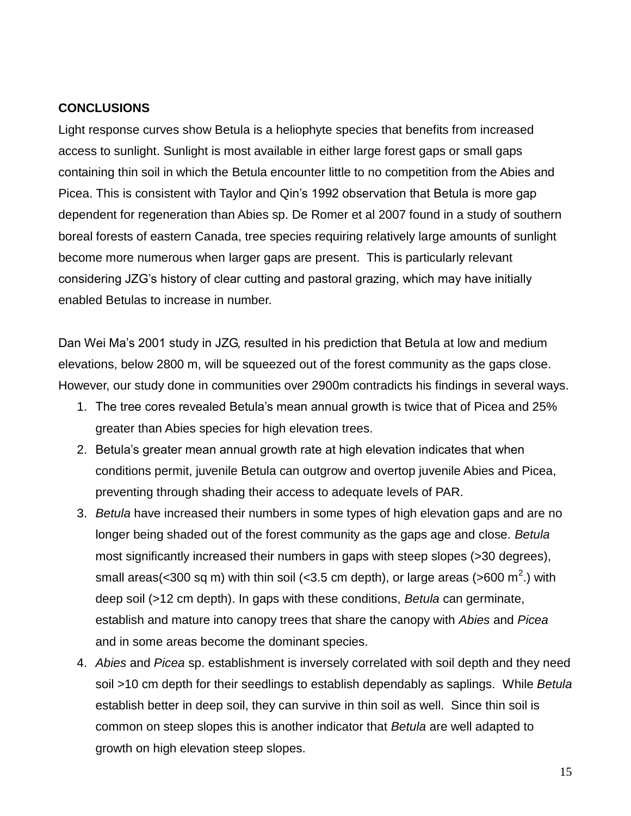### **CONCLUSIONS**

Light response curves show Betula is a heliophyte species that benefits from increased access to sunlight. Sunlight is most available in either large forest gaps or small gaps containing thin soil in which the Betula encounter little to no competition from the Abies and Picea. This is consistent with Taylor and Qin's 1992 observation that Betula is more gap dependent for regeneration than Abies sp. De Romer et al 2007 found in a study of southern boreal forests of eastern Canada, tree species requiring relatively large amounts of sunlight become more numerous when larger gaps are present. This is particularly relevant considering JZG's history of clear cutting and pastoral grazing, which may have initially enabled Betulas to increase in number.

Dan Wei Ma's 2001 study in JZG, resulted in his prediction that Betula at low and medium elevations, below 2800 m, will be squeezed out of the forest community as the gaps close. However, our study done in communities over 2900m contradicts his findings in several ways.

- 1. The tree cores revealed Betula's mean annual growth is twice that of Picea and 25% greater than Abies species for high elevation trees.
- 2. Betula's greater mean annual growth rate at high elevation indicates that when conditions permit, juvenile Betula can outgrow and overtop juvenile Abies and Picea, preventing through shading their access to adequate levels of PAR.
- 3. *Betula* have increased their numbers in some types of high elevation gaps and are no longer being shaded out of the forest community as the gaps age and close. *Betula*  most significantly increased their numbers in gaps with steep slopes (>30 degrees), small areas(<300 sq m) with thin soil (<3.5 cm depth), or large areas (>600 m<sup>2</sup>.) with deep soil (>12 cm depth). In gaps with these conditions, *Betula* can germinate, establish and mature into canopy trees that share the canopy with *Abies* and *Picea* and in some areas become the dominant species.
- 4. *Abies* and *Picea* sp. establishment is inversely correlated with soil depth and they need soil >10 cm depth for their seedlings to establish dependably as saplings. While *Betula* establish better in deep soil, they can survive in thin soil as well. Since thin soil is common on steep slopes this is another indicator that *Betula* are well adapted to growth on high elevation steep slopes.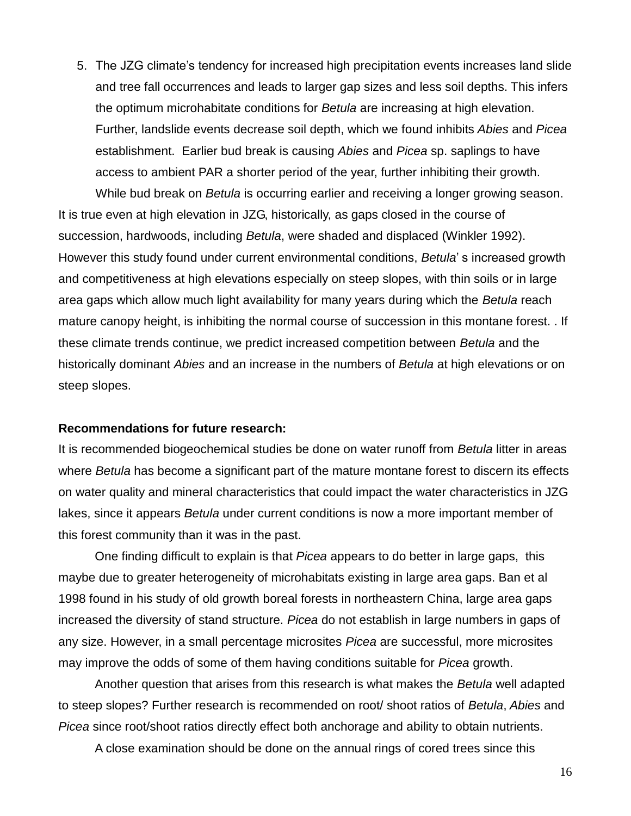5. The JZG climate's tendency for increased high precipitation events increases land slide and tree fall occurrences and leads to larger gap sizes and less soil depths. This infers the optimum microhabitate conditions for *Betula* are increasing at high elevation. Further, landslide events decrease soil depth, which we found inhibits *Abies* and *Picea* establishment. Earlier bud break is causing *Abies* and *Picea* sp. saplings to have access to ambient PAR a shorter period of the year, further inhibiting their growth.

While bud break on *Betula* is occurring earlier and receiving a longer growing season. It is true even at high elevation in JZG, historically, as gaps closed in the course of succession, hardwoods, including *Betula*, were shaded and displaced (Winkler 1992). However this study found under current environmental conditions, *Betula*' s increased growth and competitiveness at high elevations especially on steep slopes, with thin soils or in large area gaps which allow much light availability for many years during which the *Betula* reach mature canopy height, is inhibiting the normal course of succession in this montane forest. . If these climate trends continue, we predict increased competition between *Betula* and the historically dominant *Abies* and an increase in the numbers of *Betula* at high elevations or on steep slopes.

#### **Recommendations for future research:**

It is recommended biogeochemical studies be done on water runoff from *Betula* litter in areas where *Betula* has become a significant part of the mature montane forest to discern its effects on water quality and mineral characteristics that could impact the water characteristics in JZG lakes, since it appears *Betula* under current conditions is now a more important member of this forest community than it was in the past.

One finding difficult to explain is that *Picea* appears to do better in large gaps, this maybe due to greater heterogeneity of microhabitats existing in large area gaps. Ban et al 1998 found in his study of old growth boreal forests in northeastern China, large area gaps increased the diversity of stand structure. *Picea* do not establish in large numbers in gaps of any size. However, in a small percentage microsites *Picea* are successful, more microsites may improve the odds of some of them having conditions suitable for *Picea* growth.

Another question that arises from this research is what makes the *Betula* well adapted to steep slopes? Further research is recommended on root/ shoot ratios of *Betula*, *Abies* and *Picea* since root/shoot ratios directly effect both anchorage and ability to obtain nutrients.

A close examination should be done on the annual rings of cored trees since this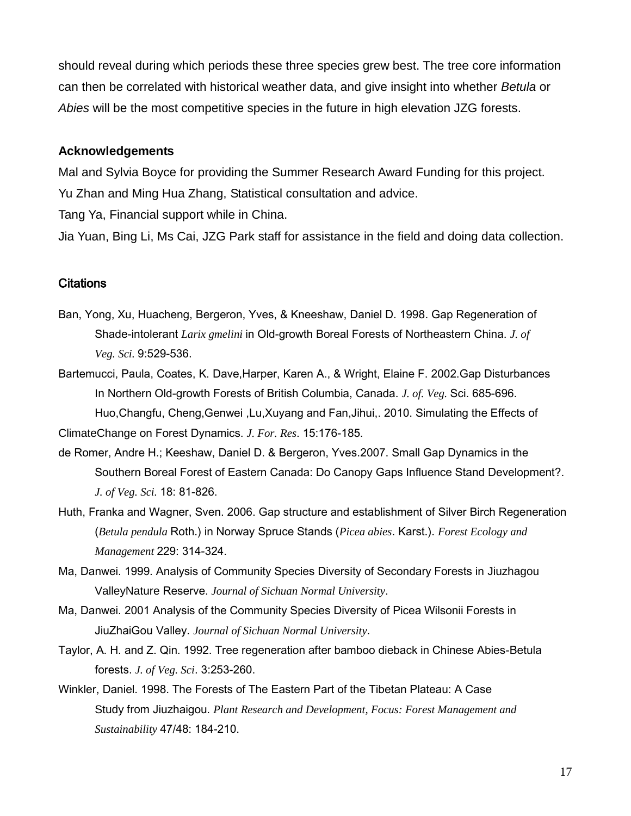should reveal during which periods these three species grew best. The tree core information can then be correlated with historical weather data, and give insight into whether *Betula* or *Abies* will be the most competitive species in the future in high elevation JZG forests.

### **Acknowledgements**

Mal and Sylvia Boyce for providing the Summer Research Award Funding for this project. Yu Zhan and Ming Hua Zhang, Statistical consultation and advice.

Tang Ya, Financial support while in China.

Jia Yuan, Bing Li, Ms Cai, JZG Park staff for assistance in the field and doing data collection.

### **Citations**

- Ban, Yong, Xu, Huacheng, Bergeron, Yves, & Kneeshaw, Daniel D. 1998. Gap Regeneration of Shade-intolerant *Larix gmelini* in Old-growth Boreal Forests of Northeastern China. *J. of Veg. Sci.* 9:529-536.
- Bartemucci, Paula, Coates, K. Dave,Harper, Karen A., & Wright, Elaine F. 2002.Gap Disturbances In Northern Old-growth Forests of British Columbia, Canada. *J. of. Veg.* Sci. 685-696. Huo,Changfu, Cheng,Genwei ,Lu,Xuyang and Fan,Jihui,. 2010. Simulating the Effects of

ClimateChange on Forest Dynamics. *J. For. Res*. 15:176-185.

- de Romer, Andre H.; Keeshaw, Daniel D. & Bergeron, Yves.2007. Small Gap Dynamics in the Southern Boreal Forest of Eastern Canada: Do Canopy Gaps Influence Stand Development?. *J. of Veg. Sci.* 18: 81-826.
- Huth, Franka and Wagner, Sven. 2006. Gap structure and establishment of Silver Birch Regeneration (*Betula pendula* Roth.) in Norway Spruce Stands (*Picea abies*. Karst.). *Forest Ecology and Management* 229: 314-324.
- Ma, Danwei. 1999. Analysis of Community Species Diversity of Secondary Forests in Jiuzhagou ValleyNature Reserve. *Journal of Sichuan Normal University*.
- Ma, Danwei. 2001 Analysis of the Community Species Diversity of Picea Wilsonii Forests in JiuZhaiGou Valley. *Journal of Sichuan Normal University*.
- Taylor, A. H. and Z. Qin. 1992. Tree regeneration after bamboo dieback in Chinese Abies-Betula forests. *J. of Veg. Sci*. 3:253-260.
- Winkler, Daniel. 1998. The Forests of The Eastern Part of the Tibetan Plateau: A Case Study from Jiuzhaigou. *Plant Research and Development, Focus: Forest Management and Sustainability* 47/48: 184-210.